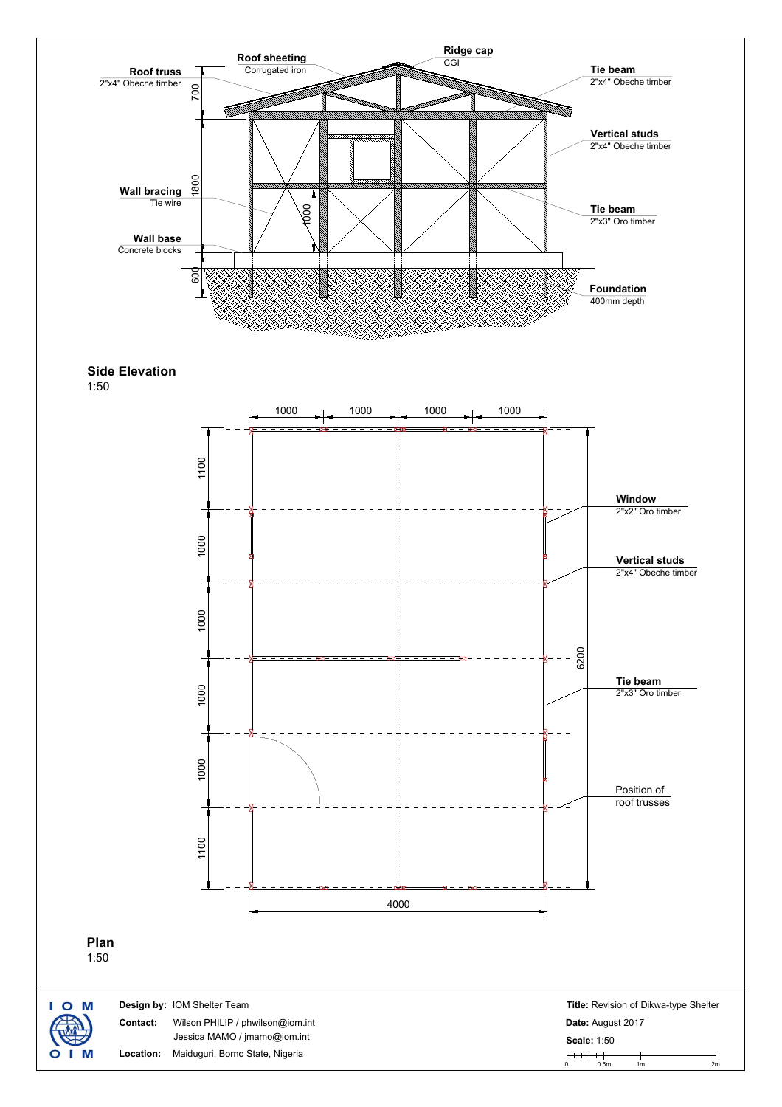